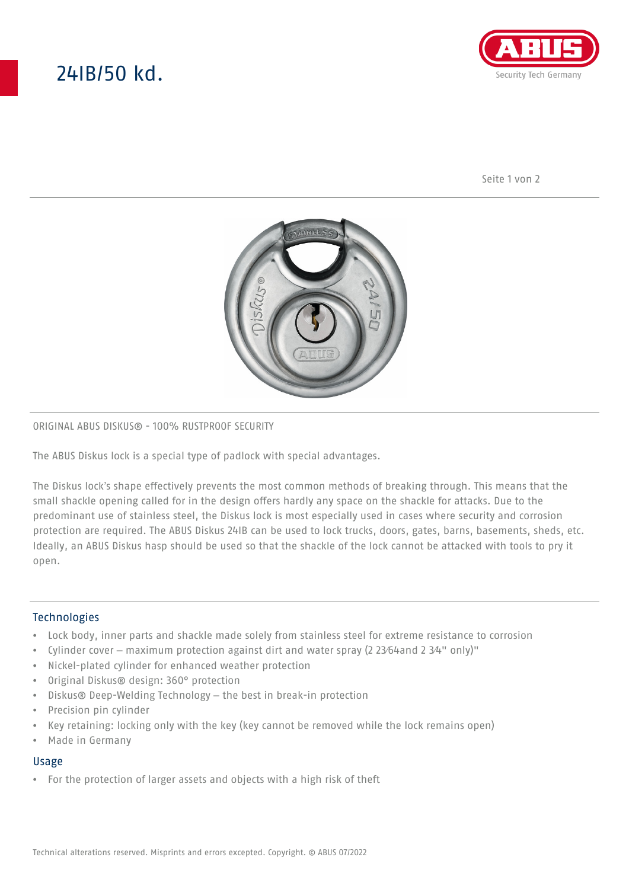# 24IB/50 kd.



Seite 1 von 2



## ORIGINAL ABUS DISKUS® - 100% RUSTPROOF SECURITY

The ABUS Diskus lock is a special type of padlock with special advantages.

The Diskus lock's shape effectively prevents the most common methods of breaking through. This means that the small shackle opening called for in the design offers hardly any space on the shackle for attacks. Due to the predominant use of stainless steel, the Diskus lock is most especially used in cases where security and corrosion protection are required. The ABUS Diskus 24IB can be used to lock trucks, doors, gates, barns, basements, sheds, etc. Ideally, an ABUS Diskus hasp should be used so that the shackle of the lock cannot be attacked with tools to pry it open.

## **Technologies**

- Lock body, inner parts and shackle made solely from stainless steel for extreme resistance to corrosion
- Cylinder cover maximum protection against dirt and water spray (2 23⁄64and 2 3⁄4" only)"
- Nickel-plated cylinder for enhanced weather protection
- Original Diskus® design: 360° protection
- Diskus® Deep-Welding Technology the best in break-in protection
- Precision pin cylinder
- Key retaining: locking only with the key (key cannot be removed while the lock remains open)
- Made in Germany

### Usage

• For the protection of larger assets and objects with a high risk of theft